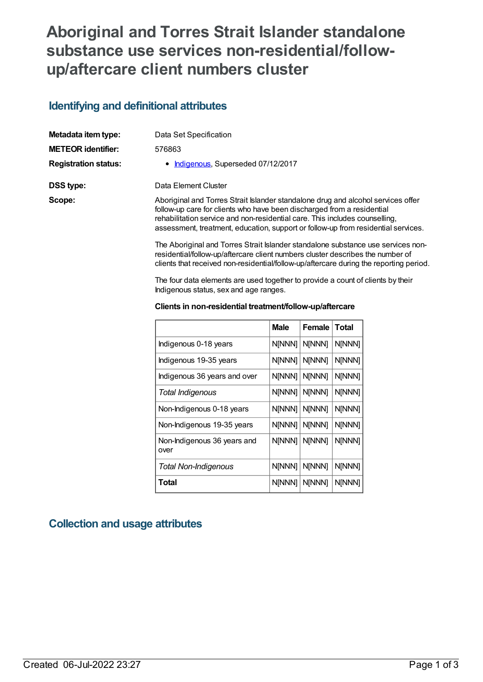# **Aboriginal and Torres Strait Islander standalone substance use services non-residential/followup/aftercare client numbers cluster**

## **Identifying and definitional attributes**

| Metadata item type:         | Data Set Specification                                                                                                                                                                                                                                                                                                         |
|-----------------------------|--------------------------------------------------------------------------------------------------------------------------------------------------------------------------------------------------------------------------------------------------------------------------------------------------------------------------------|
| <b>METEOR identifier:</b>   | 576863                                                                                                                                                                                                                                                                                                                         |
| <b>Registration status:</b> | • Indigenous, Superseded 07/12/2017                                                                                                                                                                                                                                                                                            |
| DSS type:                   | Data Element Cluster                                                                                                                                                                                                                                                                                                           |
| Scope:                      | Aboriginal and Torres Strait Islander standalone drug and alcohol services offer<br>follow-up care for clients who have been discharged from a residential<br>rehabilitation service and non-residential care. This includes counselling,<br>assessment, treatment, education, support or follow-up from residential services. |
|                             | The Aboriginal and Torres Strait Islander standalone substance use services non-                                                                                                                                                                                                                                               |

residential/follow-up/aftercare client numbers cluster describes the number of clients that received non-residential/follow-up/aftercare during the reporting period.

The four data elements are used together to provide a count of clients by their Indigenous status, sex and age ranges.

#### **Clients in non-residential treatment/follow-up/aftercare**

|                                     | <b>Male</b>   | <b>Female</b> | <b>Total</b> |
|-------------------------------------|---------------|---------------|--------------|
| Indigenous 0-18 years               | N[NNN]        | N[NNN]        | N[NNN]       |
| Indigenous 19-35 years              | N[NNN]        | N[NNN]        | N[NNN]       |
| Indigenous 36 years and over        | N[NNN]        | N[NNN]        | N[NNN]       |
| Total Indigenous                    | N[NNN]        | N[NNN]        | N[NNN]       |
| Non-Indigenous 0-18 years           | N[NNN]        | N[NNN]        | N[NNN]       |
| Non-Indigenous 19-35 years          | N[NNN]        | N[NNN]        | N[NNN]       |
| Non-Indigenous 36 years and<br>over | N[NNN]        | N[NNN]        | N[NNN]       |
| <b>Total Non-Indigenous</b>         | N[NNN]        | N[NNN]        | N[NNN]       |
| Total                               | <b>N[NNN]</b> | N[NNN]        | N[NNN]       |

### **Collection and usage attributes**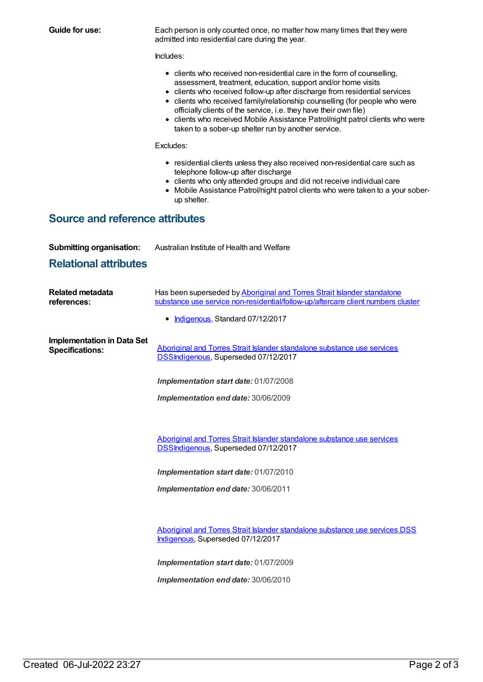| Guide for use:                                                  | Each person is only counted once, no matter how many times that they were<br>admitted into residential care during the year.                                                                                                                                                                                                                                                                                                                                                                                            |  |  |  |  |  |  |
|-----------------------------------------------------------------|-------------------------------------------------------------------------------------------------------------------------------------------------------------------------------------------------------------------------------------------------------------------------------------------------------------------------------------------------------------------------------------------------------------------------------------------------------------------------------------------------------------------------|--|--|--|--|--|--|
|                                                                 | Includes:                                                                                                                                                                                                                                                                                                                                                                                                                                                                                                               |  |  |  |  |  |  |
|                                                                 | • clients who received non-residential care in the form of counselling,<br>assessment, treatment, education, support and/or home visits<br>• clients who received follow-up after discharge from residential services<br>clients who received family/relationship counselling (for people who were<br>٠<br>officially clients of the service, i.e. they have their own file)<br>clients who received Mobile Assistance Patrol/night patrol clients who were<br>٠<br>taken to a sober-up shelter run by another service. |  |  |  |  |  |  |
|                                                                 | Excludes:                                                                                                                                                                                                                                                                                                                                                                                                                                                                                                               |  |  |  |  |  |  |
|                                                                 | • residential clients unless they also received non-residential care such as<br>telephone follow-up after discharge<br>• clients who only attended groups and did not receive individual care<br>Mobile Assistance Patrol/night patrol clients who were taken to a your sober-<br>up shelter.                                                                                                                                                                                                                           |  |  |  |  |  |  |
| <b>Source and reference attributes</b>                          |                                                                                                                                                                                                                                                                                                                                                                                                                                                                                                                         |  |  |  |  |  |  |
| <b>Submitting organisation:</b><br><b>Relational attributes</b> | Australian Institute of Health and Welfare                                                                                                                                                                                                                                                                                                                                                                                                                                                                              |  |  |  |  |  |  |
| <b>Related metadata</b><br>references:                          | Has been superseded by Aboriginal and Torres Strait Islander standalone<br>substance use service non-residential/follow-up/aftercare client numbers cluster                                                                                                                                                                                                                                                                                                                                                             |  |  |  |  |  |  |
|                                                                 | Indigenous, Standard 07/12/2017<br>٠                                                                                                                                                                                                                                                                                                                                                                                                                                                                                    |  |  |  |  |  |  |
| <b>Implementation in Data Set</b><br><b>Specifications:</b>     | Aboriginal and Torres Strait Islander standalone substance use services<br><b>DSSIndigenous, Superseded 07/12/2017</b>                                                                                                                                                                                                                                                                                                                                                                                                  |  |  |  |  |  |  |
|                                                                 | Implementation start date: 01/07/2008                                                                                                                                                                                                                                                                                                                                                                                                                                                                                   |  |  |  |  |  |  |
| Implementation end date: 30/06/2009                             |                                                                                                                                                                                                                                                                                                                                                                                                                                                                                                                         |  |  |  |  |  |  |
|                                                                 | Aboriginal and Torres Strait Islander standalone substance use services<br>DSSIndigenous, Superseded 07/12/2017                                                                                                                                                                                                                                                                                                                                                                                                         |  |  |  |  |  |  |
|                                                                 | Implementation start date: 01/07/2010                                                                                                                                                                                                                                                                                                                                                                                                                                                                                   |  |  |  |  |  |  |
|                                                                 | Implementation end date: 30/06/2011                                                                                                                                                                                                                                                                                                                                                                                                                                                                                     |  |  |  |  |  |  |
|                                                                 | Aboriginal and Torres Strait Islander standalone substance use services DSS<br>Indigenous, Superseded 07/12/2017                                                                                                                                                                                                                                                                                                                                                                                                        |  |  |  |  |  |  |
|                                                                 | Implementation start date: 01/07/2009                                                                                                                                                                                                                                                                                                                                                                                                                                                                                   |  |  |  |  |  |  |
|                                                                 | Implementation end date: 30/06/2010                                                                                                                                                                                                                                                                                                                                                                                                                                                                                     |  |  |  |  |  |  |